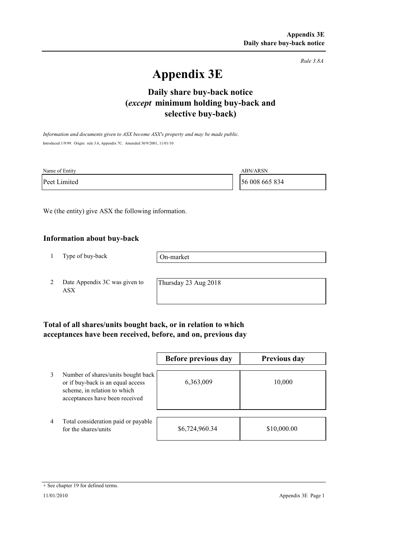*Rule 3.8A*

# **Appendix 3E**

# **selective buy-back) Daily share buy-back notice (***except* **minimum holding buy-back and**

*Information and documents given to ASX become ASX's property and may be made public.* Introduced 1/9/99. Origin: rule 3.6, Appendix 7C. Amended 30/9/2001, 11/01/10

| Name of Entity | <b>ABN/ARSN</b> |
|----------------|-----------------|
| Peet Limited   | 56 008 665 834  |

We (the entity) give ASX the following information.

#### **Information about buy-back**

1 Type of buy-back

On-market

2 Date Appendix 3C was given to ASX

Thursday 23 Aug 2018

### **Total of all shares/units bought back, or in relation to which acceptances have been received, before, and on, previous day**

|                |                                                                                                                                           | Before previous day | Previous day |
|----------------|-------------------------------------------------------------------------------------------------------------------------------------------|---------------------|--------------|
| 3              | Number of shares/units bought back<br>or if buy-back is an equal access<br>scheme, in relation to which<br>acceptances have been received | 6,363,009           | 10,000       |
| $\overline{4}$ | Total consideration paid or payable<br>for the shares/units                                                                               | \$6,724,960.34      | \$10,000.00  |

<sup>+</sup> See chapter 19 for defined terms.